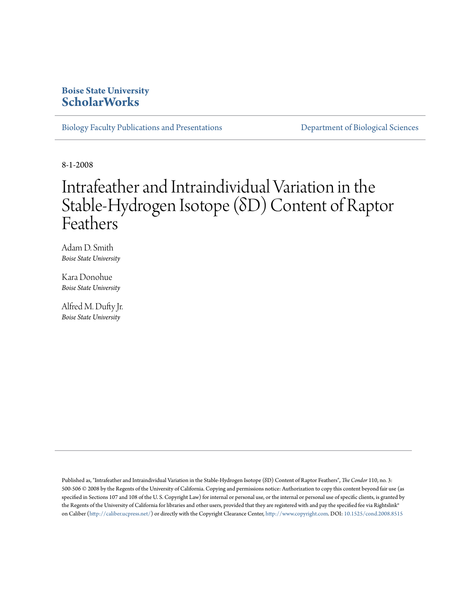# **Boise State University [ScholarWorks](https://scholarworks.boisestate.edu)**

[Biology Faculty Publications and Presentations](https://scholarworks.boisestate.edu/bio_facpubs) **[Department of Biological Sciences](https://scholarworks.boisestate.edu/biosciences)** 

8-1-2008

# Intrafeather and Intraindividual Variation in the Stable-Hydrogen Isotope (δD) Content of Raptor Feathers

Adam D. Smith *Boise State University*

Kara Donohue *Boise State University*

Alfred M. Dufty Jr. *Boise State University*

Published as, "Intrafeather and Intraindividual Variation in the Stable-Hydrogen Isotope (δD) Content of Raptor Feathers", *The Condor* 110, no. 3: 500-506 © 2008 by the Regents of the University of California. Copying and permissions notice: Authorization to copy this content beyond fair use (as specified in Sections 107 and 108 of the U. S. Copyright Law) for internal or personal use, or the internal or personal use of specific clients, is granted by the Regents of the University of California for libraries and other users, provided that they are registered with and pay the specified fee via Rightslink® on Caliber [\(http://caliber.ucpress.net/\)](http://caliber.ucpress.net/)) or directly with the Copyright Clearance Center, <http://www.copyright.com>. DOI: [10.1525/cond.2008.8515](http://dx.doi.org/10.1525/cond.2008.8515)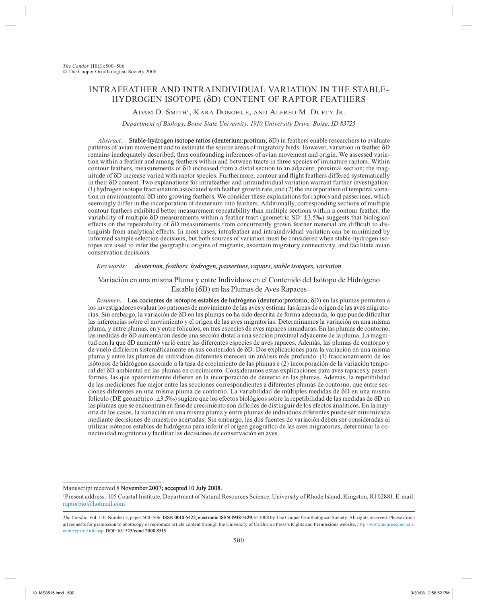# INTRAFEATHER AND INTRAINDIVIDUAL VARIATION IN THE STABLE-HYDROGEN ISOTOPE (δD) CONTENT OF RAPTOR FEATHERS

# ADAM D. SMITH<sup>1</sup>, KARA DONOHUE, AND ALFRED M. DUFTY JR.

*Department of Biology, Boise State University, 1910 University Drive, Boise, ID 83725*

 $Abstract.$  Stable-hydrogen isotope ratios (deuterium:protium;  $\delta D$ ) in feathers enable researchers to evaluate patterns of avian movement and to estimate the source areas of migratory birds. However, variation in feather δD remains inadequately described, thus confounding inferences of avian movement and origin. We assessed varia tion within a feather and among feathers within and between tracts in three species of immature raptors. Within contour feathers, measurements of δD increased from a distal section to an adjacent, proximal section; the mag nitude of δD increase varied with raptor species. Furthermore, contour and flight feathers differed systematically in their δD content. Two explanations for intrafeather and intraindividual variation warrant further investigation: (1) hydrogen isotope fractionation associated with feather growth rate, and (2) the incorporation of temporal varia tion in environmental δD into growing feathers. We consider these explanations for raptors and passerines, which seemingly differ in the incorporation of deuterium into feathers. Additionally, corresponding sections of multiple contour feathers exhibited better measurement repeatability than multiple sections within a contour feather; the variability of multiple δD measurements within a feather tract (geometric SD: ±3.5‰) suggests that biological effects on the repeatability of δD measurements from concurrently grown feather material are difficult to dis tinguish from analytical effects. In most cases, intrafeather and intraindividual variation can be minimized by informed sample selection decisions, but both sources of variation must be considered when stable-hydrogen iso topes are used to infer the geographic origins of migrants, ascertain migratory connectivity, and facilitate avian conservation decisions.

## Key words: deuterium, feathers, hydrogen, passerines, raptors, stable isotopes, variation.

# Variación en una misma Pluma y entre Individuos en el Contenido del Isótopo de Hidrógeno Estable (δD) en las Plumas de Aves Rapaces

*Resumen*. Los cocientes de isótopos estables de hidrógeno (deuterio:protonio;  $\delta D$ ) en las plumas permiten a losinvestigadores evaluar los patrones de movimiento de las aves y estimar las áreas de origen de las aves migrato rias. Sin embargo, la variación de δD en las plumas no ha sido descrita de forma adecuada, lo que puede dificultar las inferencias sobre el movimiento y el origen de las aves migratorias. Determinamos la variación en una misma pluma, y entre plumas, en y entre folículos, en tres especies de avesrapacesinmaduras. En las plumas de contorno, las medidas de δD aumentaron desde una sección distal a una sección proximal adyacente de la pluma. La magni tud con la que δD aumentó varió entre las diferentes especies de aves rapaces. Además, las plumas de contorno y de vuelo difirieron sistemáticamente en sus contenidos de δD. Dos explicaciones para la variación en una misma pluma y entre las plumas de individuos diferentes merecen un análisis más profundo: (1) fraccionamiento de los isótopos de hidrógeno asociado a la tasa de crecimiento de las plumas e (2) incorporación de la variación tempo ral del δD ambiental en las plumas en crecimiento. Consideramos estas explicaciones para aves rapaces y paseriformes, las que aparentemente difieren en la incorporación de deuterio en las plumas. Además, la repetibilidad de las mediciones fue mejor entre las secciones correspondientes a diferentes plumas de contorno, que entre secciones diferentes en una misma pluma de contorno. La variabilidad de múltiples medidas de δD en una mismo folículo (DE geométrico: ±3.5‰) sugiere que los efectos biológicos sobre la repetibilidad de las medidas de δD en las plumas que se encuentran en fase de crecimiento son difíciles de distinguir de los efectos analíticos. En la may oría de los casos, la variación en una misma pluma y entre plumas de individuos diferentes puede ser minimizada mediante decisiones de muestreo acertadas. Sin embargo, las dos fuentes de variación deben ser consideradas al utilizar isótopos estables de hidrógeno para inferir el origen geográfico de las aves migratorias, determinar la co nectividad migratoria y facilitar las decisiones de conservación en aves.

Manuscript received 8 November 2007; accepted 10 July 2008.

<sup>&</sup>lt;sup>1</sup>Present address: 105 Coastal Institute, Department of Natural Resources Science, University of Rhode Island, Kingston, RI 02881. E-m [raptorbio@hotmail.com](mailto:raptorbio@hotmail.com  )

The Condor, Vol. 110, Number 3, pages 500-506. ISSN 0010-5422, electronic ISSN 1938-5129. @ 2008 by The Cooper Ornithological Society. All rights reserved. Please direct all requests for permission to photocopy or reproduce article content through the University of California Press's Rights and Permissions website, [http://www.ucpressjournals.](http://www.ucpressjournals.com/reprintInfo.asp) [com/reprintInfo.asp](http://www.ucpressjournals.com/reprintInfo.asp). DOI: 10.1525/cond.2008.8515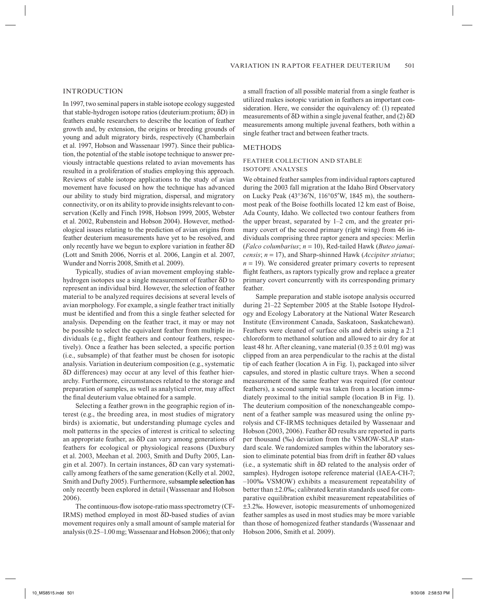#### INTRODUCTION

In 1997, two seminal papersin stable isotope ecology suggested that stable-hydrogen isotope ratios (deuterium:protium; δD) in feathers enable researchers to describe the location of feather growth and, by extension, the origins or breeding grounds of young and adult migratory birds, respectively (Chamberlain et al. 1997, Hobson and Wassenaar 1997). Since their publica tion, the potential of the stable isotope technique to answer previously intractable questions related to avian movements has resulted in a proliferation of studies employing this approach. Reviews of stable isotope applications to the study of avian movement have focused on how the technique has advanced our ability to study bird migration, dispersal, and migratory connectivity, or on its ability to provide insights relevant to conservation (Kelly and Finch 1998, Hobson 1999, 2005, Webster et al. 2002, Rubenstein and Hobson 2004). However, method ological issues relating to the prediction of avian origins from feather deuterium measurements have yet to be resolved, and only recently have we begun to explore variation in feather δD (Lott and Smith 2006, Norris et al. 2006, Langin et al. 2007, Wunder and Norris 2008, Smith et al. 2009).

Typically, studies of avian movement employing stable hydrogen isotopes use a single measurement of feather δD to represent an individual bird. However, the selection of feather material to be analyzed requires decisions at several levels of avian morphology. For example, a single feather tract initially must be identified and from this a single feather selected for analysis. Depending on the feather tract, it may or may not be possible to select the equivalent feather from multiple in dividuals (e.g., flight feathers and contour feathers, respec tively). Once a feather has been selected, a specific portion (i.e., subsample) of that feather must be chosen for isotopic analysis. Variation in deuterium composition (e.g., systematic δD differences) may occur at any level of this feather hier archy. Furthermore, circumstances related to the storage and preparation of samples, as well as analytical error, may affect the final deuterium value obtained for a sample.

Selecting a feather grown in the geographic region of in terest (e.g., the breeding area, in most studies of migratory birds) is axiomatic, but understanding plumage cycles and molt patterns in the species of interest is critical to selecting an appropriate feather, as δD can vary among generations of feathers for ecological or physiological reasons (Duxbury et al. 2003, Meehan et al. 2003, Smith and Dufty 2005, Lan gin et al. 2007). In certain instances, δD can vary systematically among feathers of the same generation (Kelly et al. 2002, Smith and Dufty 2005). Furthermore, subsample selection has only recently been explored in detail (Wassenaar and Hobson 2006).

The continuous-flow isotope-ratio mass spectrometry (CF-IRMS) method employed in most δD-based studies of avian movement requires only a small amount of sample material for analysis (0.25–1.00 mg; Wassenaar and Hobson 2006); that only a small fraction of all possible material from a single feather is utilized makes isotopic variation in feathers an important con sideration. Here, we consider the equivalency of: (1) repeated measurements of δD within a single juvenal feather, and (2) δD measurements among multiple juvenal feathers, both within a single feather tract and between feather tracts.

#### METHODS

#### Feather collection and stable isotope analyses

We obtained feather samples from individual raptors captured during the 2003 fall migration at the Idaho Bird Observatory on Lucky Peak (43°36′N, 116°05′W, 1845 m), the southern most peak of the Boise foothills located 12 km east of Boise, Ada County, Idaho. We collected two contour feathers from the upper breast, separated by 1–2 cm, and the greater pri mary covert of the second primary (right wing) from 46 in dividuals comprising three raptor genera and species: Merlin (*Falco columbarius*; *n* = 10), Red-tailed Hawk (*Buteo jamaicensis*; *n* = 17), and Sharp-shinned Hawk (*Accipiter striatus*;  $n = 19$ ). We considered greater primary coverts to represent flight feathers, as raptors typically grow and replace a greater primary covert concurrently with its corresponding primary feather.

Sample preparation and stable isotope analysis occurred during 21–22 September 2005 at the Stable Isotope Hydrol ogy and Ecology Laboratory at the National Water Research Institute (Environment Canada, Saskatoon, Saskatchewan). Feathers were cleaned of surface oils and debris using a 2:1 chloroform to methanol solution and allowed to air dry for at least 48 hr. After cleaning, vane material  $(0.35 \pm 0.01 \text{ mg})$  was clipped from an area perpendicular to the rachis at the distal tip of each feather (location A in Fig. 1), packaged into silver capsules, and stored in plastic culture trays. When a second measurement of the same feather was required (for contour feathers), a second sample was taken from a location imme diately proximal to the initial sample (location B in Fig. 1). The deuterium composition of the nonexchangeable compo nent of a feather sample was measured using the online py rolysis and CF-IRMS techniques detailed by Wassenaar and Hobson (2003, 2006). Feather δD results are reported in parts per thousand (‰) deviation from the VSMOW-SLAP stan dard scale. We randomized samples within the laboratory ses sion to eliminate potential bias from drift in feather δD values (i.e., a systematic shift in δD related to the analysis order of samples). Hydrogen isotope reference material (IAEA-CH-7; –100‰ VSMOW) exhibits a measurement repeatability of better than ±2.0‰; calibrated keratin standards used for com parative equilibration exhibit measurement repeatabilities of ±3.2‰. However, isotopic measurements of unhomogenized feather samples as used in most studies may be more variable than those of homogenized feather standards (Wassenaar and Hobson 2006, Smith et al. 2009).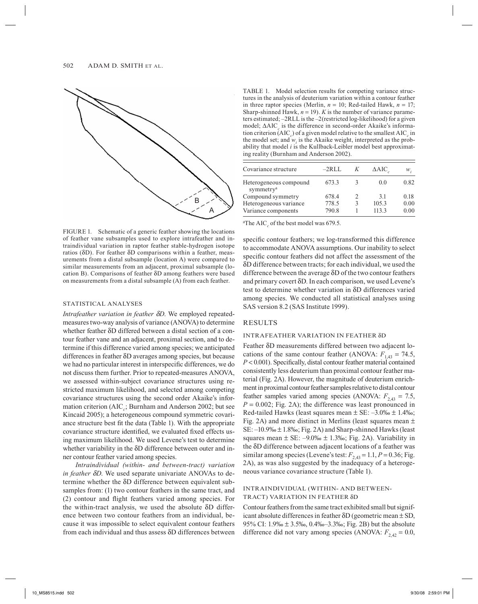

FIGURE 1. Schematic of a generic feather showing the locations of feather vane subsamples used to explore intrafeather and in traindividual variation in raptor feather stable-hydrogen isotope ratios (δD). For feather δD comparisons within a feather, meas urements from a distal subsample (location A) were compared to similar measurements from an adjacent, proximal subsample (location B). Comparisons of feather δD among feathers were based on measurements from a distal subsample (A) from each feather.

#### Statistical analyses

*Intrafeather variation in feather*  $\delta D$ *. We employed repeated*measures two-way analysis of variance (ANOVA) to determine whether feather δD differed between a distal section of a con tour feather vane and an adjacent, proximal section, and to de termine if this difference varied among species; we anticipated differences in feather δD averages among species, but because we had no particular interest in interspecific differences, we do not discuss them further. Prior to repeated-measures ANOVA, we assessed within-subject covariance structures using re stricted maximum likelihood, and selected among competing covariance structures using the second order Akaike's infor mation criterion (AIC<sub>c</sub>; Burnham and Anderson 2002; but se Kincaid 2005); a heterogeneous compound symmetric covari ance structure best fit the data (Table 1). With the appropriate covariance structure identified, we evaluated fixed effects us ing maximum likelihood. We used Levene's test to determine whether variability in the δD difference between outer and in ner contour feather varied among species.

*Intraindividual (within- and between-tract) variation in feather*  $\delta D$ . We used separate univariate ANOVAs to determine whether the δD difference between equivalent sub samples from: (1) two contour feathers in the same tract, and (2) contour and flight feathers varied among species. For the within-tract analysis, we used the absolute δD differ ence between two contour feathers from an individual, because it was impossible to select equivalent contour feathers from each individual and thus assess δD differences between

TABLE 1. Model selection results for competing variance struc tures in the analysis of deuterium variation within a contour feather in three raptor species (Merlin,  $n = 10$ ; Red-tailed Hawk,  $n = 17$ ; Sharp-shinned Hawk,  $n = 19$ ). *K* is the number of variance parameters estimated; –2RLL isthe –2(restricted log-likelihood) for a given model; ΔAIC<sub>c</sub> is the difference in second-order Akaike's information criterion (AIC<sub>*c*</sub>) of a given model relative to the smallest AIC<sub>*c*</sub> in the model set; and  $w_i$  is the Akaike weight, interpreted as the probability that model *i* is the Kullback-Leibler model best approximat ing reality (Burnham and Anderson 2002).

| Covariance structure                            | $-2RLL$        |   | ∆АІС           | w.           |
|-------------------------------------------------|----------------|---|----------------|--------------|
| Heterogeneous compound<br>symmetry <sup>a</sup> | 673.3          |   | 0.0            | 0.82         |
| Compound symmetry                               | 678.4          |   | 3.1            | 0.18         |
| Heterogeneous variance<br>Variance components   | 778.5<br>790.8 | 3 | 105.3<br>113.3 | 0.00<br>0.00 |

<sup>a</sup>The AIC<sub>*c*</sub> of the best model was 679.5.

specific contour feathers; we log-transformed this difference to accommodate ANOVA assumptions. Our inability to select specific contour feathers did not affect the assessment of the δD difference between tracts; for each individual, we used the difference between the average δD of the two contour feathers and primary covert δD. In each comparison, we used Levene's test to determine whether variation in δD differences varied among species. We conducted all statistical analyses using SAS version 8.2 (SAS Institute 1999).

#### RESULTS

#### Intrafeather variation in feather δD

Feather δD measurements differed between two adjacent locations of the same contour feather (ANOVA:  $F_{1,43} = 74.5$ , *P* < 0.001). Specifically, distal contour feather material contained consistently less deuterium than proximal contour feather ma terial (Fig. 2A). However, the magnitude of deuterium enrich ment in proximal contour feather samples relative to distal contour feather samples varied among species (ANOVA:  $F_{2,43} = 7.5$ ,  $P = 0.002$ ; Fig. 2A); the difference was least pronounced in Red-tailed Hawks (least squares mean  $\pm$  SE:  $-3.0\%$   $\pm$  1.4‰; Fig. 2A) and more distinct in Merlins (least squares mean  $\pm$ SE: –10.9‰ ± 1.8‰; Fig. 2A) and Sharp-shinned Hawks (least squares mean  $\pm$  SE:  $-9.0\%$   $\pm$  1.3‰; Fig. 2A). Variability in the δD difference between adjacent locations of a feather was similar among species (Levene's test:  $F_{2,43} = 1.1$ ,  $P = 0.36$ ; Fig. 2A), as was also suggested by the inadequacy of a heteroge neous variance covariance structure (Table 1).

## Intraindividual (within- and betweentract) variation in feather δD

Contour feathers from the same tract exhibited small but significant absolute differences in feather  $\delta D$  (geometric mean  $\pm SD$ , 95% CI: 1.9‰ ± 3.5‰, 0.4‰–3.3‰; Fig. 2B) but the absolute difference did not vary among species (ANOVA:  $F_{2,42} = 0.0$ ,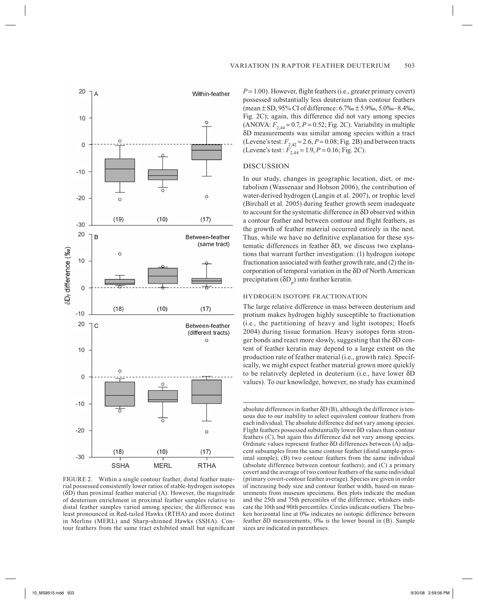

FIGURE 2. Within a single contour feather, distal feather mate rial possessed consistently lower ratios of stable-hydrogen isotopes (δD) than proximal feather material (A). However, the magnitude of deuterium enrichment in proximal feather samples relative to distal feather samples varied among species; the difference was least pronounced in Red-tailed Hawks (RTHA) and more distinct in Merlins (MERL) and Sharp-shinned Hawks (SSHA). Con tour feathers from the same tract exhibited small but significant

 $P = 1.00$ ). However, flight feathers (i.e., greater primary covert) possessed substantially less deuterium than contour feathers (mean ± SD, 95% CI of difference: 6.7‰ ± 5.9‰, 5.0‰–8.4‰; Fig. 2C); again, this difference did not vary among species (ANOVA:  $F_{2,44} = 0.7$ ,  $P = 0.52$ ; Fig. 2C). Variability in multiple δD measurements was similar among species within a tract (Levene's test:  $F_{2,42} = 2.6$ ,  $P = 0.08$ ; Fig. 2B) and between tracts (Levene's test :  $F_{2,44} = 1.9, P = 0.16$ ; Fig. 2C).

#### DISCUSSION

In our study, changes in geographic location, diet, or me tabolism (Wassenaar and Hobson 2006), the contribution of water-derived hydrogen (Langin et al. 2007), or trophic level (Birchall et al. 2005) during feather growth seem inadequate to account for the systematic difference in δD observed within a contour feather and between contour and flight feathers, as the growth of feather material occurred entirely in the nest. Thus, while we have no definitive explanation for these sys tematic differences in feather δD, we discuss two explana tions that warrant further investigation: (1) hydrogen isotope fractionation associated with feather growth rate, and (2) the incorporation of temporal variation in the δD of North American precipitation  $(\delta D_p)$  into feather keratin.

#### Hydrogen isotope fractionation

The large relative difference in mass between deuterium and protium makes hydrogen highly susceptible to fractionation (i.e., the partitioning of heavy and light isotopes; Hoefs 2004) during tissue formation. Heavy isotopes form stron ger bonds and react more slowly, suggesting that the δD con tent of feather keratin may depend to a large extent on the production rate of feather material (i.e., growth rate). Specif ically, we might expect feather material grown more quickly to be relatively depleted in deuterium (i.e., have lower δD values). To our knowledge, however, no study has examined

absolute differences in feather  $\delta$ D $(B)$ , although the difference is tenuous due to our inability to select equivalent contour feathers from each individual. The absolute difference did not vary among species. Flight feathers possessed substantially lower δD valuesthan contour feathers (C), but again this difference did not vary among species. Ordinate values represent feather δD differences between (A) adjacent subsamples from the same contour feather (distal sample-prox imal sample); (B) two contour feathers from the same individual (absolute difference between contour feathers); and (C) a primary covert and the average of two contour feathers of the same individual (primary covert-contour feather average). Species are given in order of increasing body size and contour feather width, based on meas urements from museum specimens. Box plots indicate the median and the 25th and 75th percentiles of the difference; whiskers indicate the 10th and 90th percentiles. Circles indicate outliers. The broken horizontal line at 0‰ indicates no isotopic difference between feather δD measurements; 0‰ is the lower bound in (B). Sample sizes are indicated in parentheses.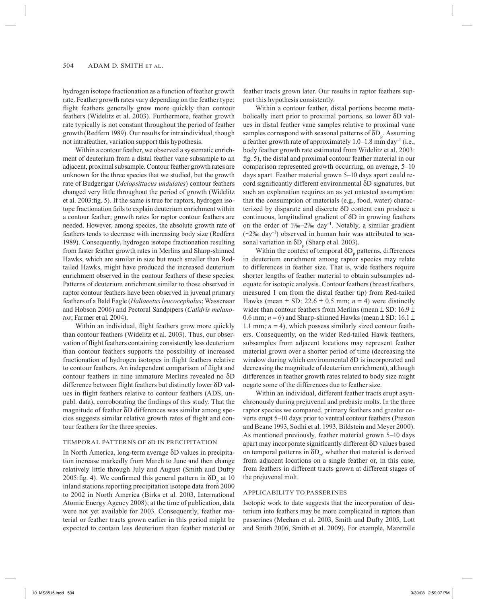hydrogen isotope fractionation as a function of feather growth rate. Feather growth rates vary depending on the feather type; flight feathers generally grow more quickly than contour feathers (Widelitz et al. 2003). Furthermore, feather growth rate typically is not constant throughout the period of feather growth (Redfern 1989). Our results for intraindividual, though not intrafeather, variation support this hypothesis.

Within a contour feather, we observed a systematic enrich ment of deuterium from a distal feather vane subsample to an adjacent, proximal subsample. Contour feather growth rates are unknown for the three species that we studied, but the growth rate of Budgerigar (*Melopsittacus undulates*) contour feathers changed very little throughout the period of growth (Widelitz et al. 2003:fig. 5). If the same is true for raptors, hydrogen iso tope fractionation fails to explain deuterium enrichment within a contour feather; growth rates for raptor contour feathers are needed. However, among species, the absolute growth rate of feathers tends to decrease with increasing body size (Redfern 1989). Consequently, hydrogen isotope fractionation resulting from faster feather growth rates in Merlins and Sharp-shinned Hawks, which are similar in size but much smaller than Red tailed Hawks, might have produced the increased deuterium enrichment observed in the contour feathers of these species. Patterns of deuterium enrichment similar to those observed in raptor contour feathers have been observed in juvenal primary feathers of a Bald Eagle (*Haliaeetus leucocephalus*; Wassenaar and Hobson 2006) and Pectoral Sandpipers (*Calidris melanotos*; Farmer et al. 2004).

Within an individual, flight feathers grow more quickly than contour feathers (Widelitz et al. 2003). Thus, our observation of flight feathers containing consistently less deuterium than contour feathers supports the possibility of increased fractionation of hydrogen isotopes in flight feathers relative to contour feathers. An independent comparison of flight and contour feathers in nine immature Merlins revealed no δD difference between flight feathers but distinctly lower δD val ues in flight feathers relative to contour feathers (ADS, un publ. data), corroborating the findings of this study. That the magnitude of feather δD differences was similar among species suggests similar relative growth rates of flight and con tour feathers for the three species.

#### Temporal patterns of δD in precipitation

In North America, long-term average δD values in precipita tion increase markedly from March to June and then change relatively little through July and August (Smith and Dufty 2005:fig. 4). We confirmed this general pattern in  $\delta D_n$  at 10 inland stations reporting precipitation isotope data from 2000 to 2002 in North America (Birks et al. 2003, International Atomic Energy Agency 2008); at the time of publication, data were not yet available for 2003. Consequently, feather ma terial or feather tracts grown earlier in this period might be expected to contain less deuterium than feather material or feather tracts grown later. Our results in raptor feathers sup port this hypothesis consistently.

Within a contour feather, distal portions become meta bolically inert prior to proximal portions, so lower δD val ues in distal feather vane samples relative to proximal vane samples correspond with seasonal patterns of  $\delta D_p$ . Ass a feather growth rate of approximately  $1.0-1.8$  mm day<sup>-1</sup> (i.e., body feather growth rate estimated from Widelitz et al. 2003: fig. 5), the distal and proximal contour feather material in our comparison represented growth occurring, on average, 5–10 days apart. Feather material grown 5–10 days apart could record significantly different environmental δD signatures, but such an explanation requires an as yet untested assumption: that the consumption of materials (e.g., food, water) charac terized by disparate and discrete δD content can produce a continuous, longitudinal gradient of δD in growing feathers on the order of  $1\% - 2\%$  day<sup>-1</sup>. Notably, a similar g (~2‰ day-<sup>1</sup> ) observed in human hair was attributed to sea sonal variation in  $\delta D_p$  (Sharp et al. 2003).

Within the context of temporal  $\delta D_n$  patterns, differences in deuterium enrichment among raptor species may relate to differences in feather size. That is, wide feathers require shorter lengths of feather material to obtain subsamples ad equate for isotopic analysis. Contour feathers (breast feathers, measured 1 cm from the distal feather tip) from Red-tailed Hawks (mean  $\pm$  SD: 22.6  $\pm$  0.5 mm; *n* = 4) were distinctly wider than contour feathers from Merlins (mean  $\pm$  SD: 16.9  $\pm$ 0.6 mm;  $n = 6$ ) and Sharp-shinned Hawks (mean  $\pm$  SD: 16.1  $\pm$ 1.1 mm;  $n = 4$ ), which possess similarly sized contour feathers. Consequently, on the wider Red-tailed Hawk feathers, subsamples from adjacent locations may represent feather material grown over a shorter period of time (decreasing the window during which environmental δD is incorporated and decreasing the magnitude of deuterium enrichment), although differences in feather growth rates related to body size might negate some of the differences due to feather size.

Within an individual, different feather tracts erupt asynchronously during prejuvenal and prebasic molts. In the three raptor species we compared, primary feathers and greater coverts erupt 5–10 days prior to ventral contour feathers (Preston and Beane 1993, Sodhi et al. 1993, Bildstein and Meyer 2000). As mentioned previously, feather material grown 5–10 days apart may incorporate significantly different δD values based on temporal patterns in  $\delta D_p$ , whether that material is derive from adjacent locations on a single feather or, in this case, from feathers in different tracts grown at different stages of the prejuvenal molt.

#### Applicability to passerines

Isotopic work to date suggests that the incorporation of deu terium into feathers may be more complicated in raptors than passerines (Meehan et al. 2003, Smith and Dufty 2005, Lott and Smith 2006, Smith et al. 2009). For example, Mazerolle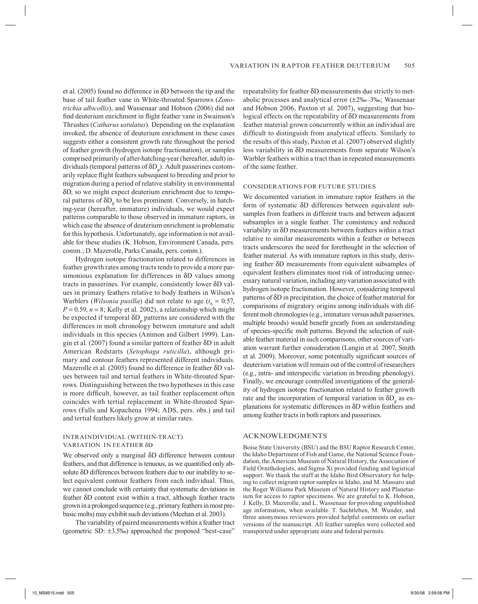et al. (2005) found no difference in δD between the tip and the base of tail feather vane in White-throated Sparrows (*Zonotrichia albicollis*), and Wassenaar and Hobson (2006) did not find deuterium enrichment in flight feather vane in Swainson's Thrushes (*Catharus ustulatus*). Depending on the explanation invoked, the absence of deuterium enrichment in these cases suggests either a consistent growth rate throughout the period of feather growth (hydrogen isotope fractionation), or samples comprised primarily of after-hatching-year (hereafter, adult) in dividuals (temporal patterns of  $\delta D_p$ ). Adult passerines customarily replace flight feathers subsequent to breeding and prior to migration during a period of relative stability in environmental δD, so we might expect deuterium enrichment due to tempo ral patterns of  $\delta D_n$  to be less prominent. Conversely, in hatching-year (hereafter, immature) individuals, we would expect patterns comparable to those observed in immature raptors, in which case the absence of deuterium enrichment is problematic for this hypothesis. Unfortunately, age information is not avail able for these studies (K. Hobson, Environment Canada, pers. comm.; D. Mazerolle, Parks Canada, pers. comm.).

Hydrogen isotope fractionation related to differences in feather growth rates among tracts tends to provide a more parsimonious explanation for differences in δD values among tracts in passerines. For example, consistently lower δD val ues in primary feathers relative to body feathers in Wilson's Warblers (*Wilsonia pusilla*) did not relate to age ( $t_6 = 0.57$ ,  $P = 0.59$ ,  $n = 8$ ; Kelly et al. 2002), a relationship which might be expected if temporal  $\delta D$ <sub>r</sub> patterns are considered with the differences in molt chronology between immature and adult individuals in this species (Ammon and Gilbert 1999). Lan gin et al. (2007) found a similar pattern of feather δD in adult American Redstarts (*Setophaga ruticilla*), although pri mary and contour feathers represented different individuals. Mazerolle et al. (2005) found no difference in feather δD val ues between tail and tertial feathers in White-throated Spar rows. Distinguishing between the two hypotheses in this case is more difficult, however, as tail feather replacement often coincides with tertial replacement in White-throated Spar rows (Falls and Kopachena 1994; ADS, pers. obs.) and tail and tertial feathers likely grow at similar rates.

## Intraindividual (within-tract) variation in feather δD

We observed only a marginal δD difference between contour feathers, and that difference istenuous, as we quantified only ab solute δD differences between feathers due to our inability to se lect equivalent contour feathers from each individual. Thus, we cannot conclude with certainty that systematic deviations in feather δD content exist within a tract, although feather tracts grown in a prolonged sequence (e.g., primary feathersinmost pre basic molts) may exhibit such deviations (Meehan et al. 2003).

The variability of paired measurements within a feather tract (geometric SD: ±3.5‰) approached the proposed "best-case"

repeatability for feather δD measurements due strictly to met abolic processes and analytical error (±2‰–3‰; Wassenaar and Hobson 2006, Paxton et al. 2007), suggesting that bio logical effects on the repeatability of δD measurements from feather material grown concurrently within an individual are difficult to distinguish from analytical effects. Similarly to the results of this study, Paxton et al. (2007) observed slightly less variability in δD measurements from separate Wilson's Warbler feathers within a tract than in repeated measurements of the same feather.

#### Considerations for future studies

We documented variation in immature raptor feathers in the form of systematic δD differences between equivalent sub samples from feathers in different tracts and between adjacent subsamples in a single feather. The consistency and reduced variability in δD measurements between feathers within a tract relative to similar measurements within a feather or between tracts underscores the need for forethought in the selection of feather material. As with immature raptors in this study, deriv ing feather δD measurements from equivalent subsamples of equivalent feathers eliminates most risk of introducing unnec essary natural variation, including any variation associated with hydrogen isotope fractionation. However, considering temporal patterns of δD in precipitation, the choice of feather material for comparisons of migratory origins among individuals with different molt chronologies (e.g., immature versus adult passerines, multiple broods) would benefit greatly from an understanding of species-specific molt patterns. Beyond the selection of suit able feather material in such comparisons, other sources of variation warrant further consideration (Langin et al. 2007, Smith et al. 2009). Moreover, some potentially significant sources of deuterium variation will remain out of the control of researchers (e.g., intra- and interspecific variation in breeding phenology). Finally, we encourage controlled investigations of the general ity of hydrogen isotope fractionation related to feather growth rate and the incorporation of temporal variation in  $\delta D<sub>n</sub>$  as explanations for systematic differences in δD within feathers and among feather tracts in both raptors and passerines.

#### ACKNOWLEDGMENTS

Boise State University (BSU) and the BSU Raptor Research Center, the Idaho Department of Fish and Game, the National Science Foun dation, the American Museum of Natural History, the Association of Field Ornithologists, and Sigma Xi provided funding and logistical support. We thank the staff at the Idaho Bird Observatory for help ing to collect migrant raptor samples in Idaho, and M. Massaro and the Roger Williams Park Museum of Natural History and Planetar ium for access to raptor specimens. We are grateful to K. Hobson, J. Kelly, D. Mazerolle, and L. Wassenaar for providing unpublished age information, when available. T. Sachtleben, M. Wunder, and three anonymous reviewers provided helpful comments on earlier versions of the manuscript. All feather samples were collected and transported under appropriate state and federal permits.